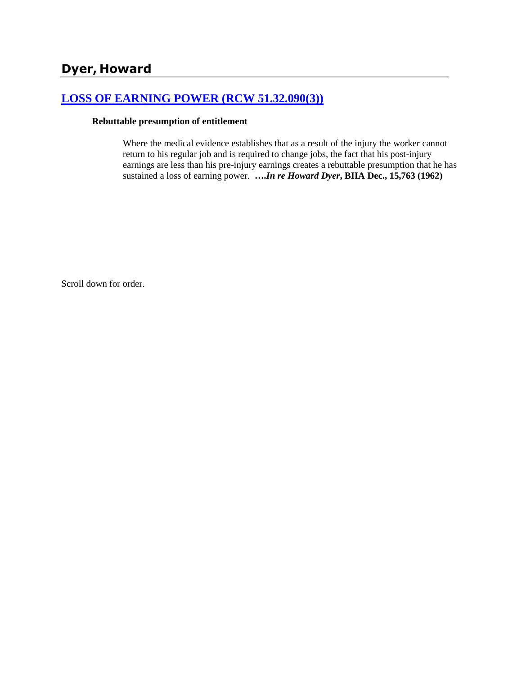# **[LOSS OF EARNING POWER \(RCW 51.32.090\(3\)\)](http://www.biia.wa.gov/SDSubjectIndex.html#LOSS_OF_EARNING_POWER)**

#### **Rebuttable presumption of entitlement**

Where the medical evidence establishes that as a result of the injury the worker cannot return to his regular job and is required to change jobs, the fact that his post-injury earnings are less than his pre-injury earnings creates a rebuttable presumption that he has sustained a loss of earning power. **….***In re Howard Dyer***, BIIA Dec., 15,763 (1962)** 

Scroll down for order.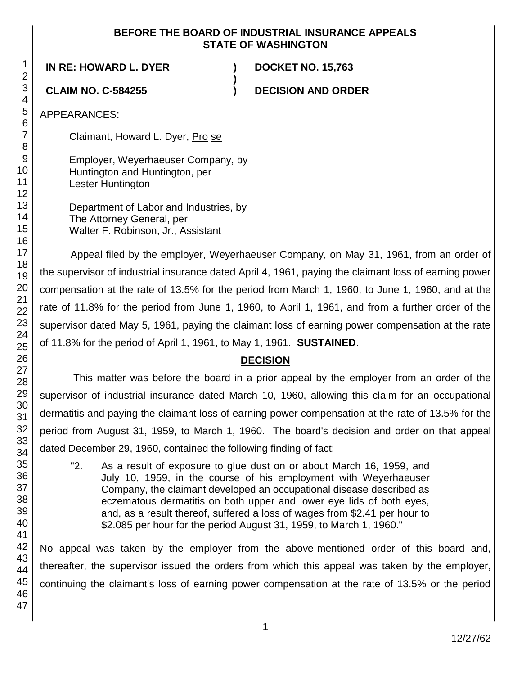## **BEFORE THE BOARD OF INDUSTRIAL INSURANCE APPEALS STATE OF WASHINGTON**

**)**

**IN RE: HOWARD L. DYER ) DOCKET NO. 15,763**

**CLAIM NO. C-584255 ) DECISION AND ORDER**

APPEARANCES:

Claimant, Howard L. Dyer, Pro se

Employer, Weyerhaeuser Company, by Huntington and Huntington, per Lester Huntington

Department of Labor and Industries, by The Attorney General, per Walter F. Robinson, Jr., Assistant

Appeal filed by the employer, Weyerhaeuser Company, on May 31, 1961, from an order of the supervisor of industrial insurance dated April 4, 1961, paying the claimant loss of earning power compensation at the rate of 13.5% for the period from March 1, 1960, to June 1, 1960, and at the rate of 11.8% for the period from June 1, 1960, to April 1, 1961, and from a further order of the supervisor dated May 5, 1961, paying the claimant loss of earning power compensation at the rate of 11.8% for the period of April 1, 1961, to May 1, 1961. **SUSTAINED**.

## **DECISION**

This matter was before the board in a prior appeal by the employer from an order of the supervisor of industrial insurance dated March 10, 1960, allowing this claim for an occupational dermatitis and paying the claimant loss of earning power compensation at the rate of 13.5% for the period from August 31, 1959, to March 1, 1960. The board's decision and order on that appeal dated December 29, 1960, contained the following finding of fact:

"2. As a result of exposure to glue dust on or about March 16, 1959, and July 10, 1959, in the course of his employment with Weyerhaeuser Company, the claimant developed an occupational disease described as eczematous dermatitis on both upper and lower eye lids of both eyes, and, as a result thereof, suffered a loss of wages from \$2.41 per hour to \$2.085 per hour for the period August 31, 1959, to March 1, 1960."

No appeal was taken by the employer from the above-mentioned order of this board and, thereafter, the supervisor issued the orders from which this appeal was taken by the employer, continuing the claimant's loss of earning power compensation at the rate of 13.5% or the period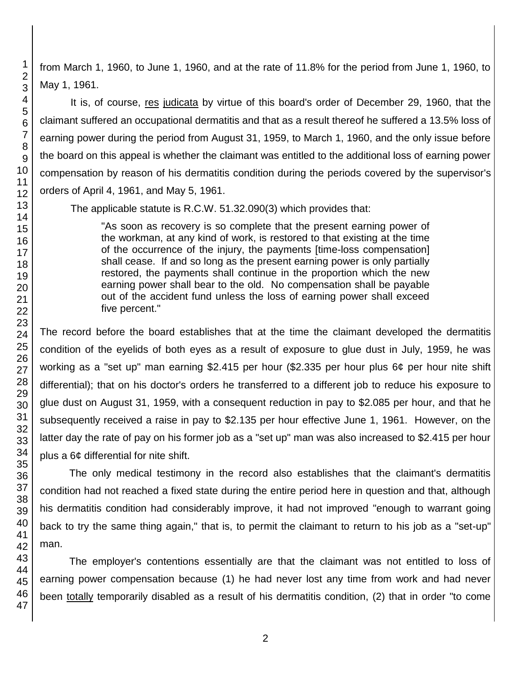from March 1, 1960, to June 1, 1960, and at the rate of 11.8% for the period from June 1, 1960, to May 1, 1961.

It is, of course, res judicata by virtue of this board's order of December 29, 1960, that the claimant suffered an occupational dermatitis and that as a result thereof he suffered a 13.5% loss of earning power during the period from August 31, 1959, to March 1, 1960, and the only issue before the board on this appeal is whether the claimant was entitled to the additional loss of earning power compensation by reason of his dermatitis condition during the periods covered by the supervisor's orders of April 4, 1961, and May 5, 1961.

The applicable statute is R.C.W. 51.32.090(3) which provides that:

"As soon as recovery is so complete that the present earning power of the workman, at any kind of work, is restored to that existing at the time of the occurrence of the injury, the payments [time-loss compensation] shall cease. If and so long as the present earning power is only partially restored, the payments shall continue in the proportion which the new earning power shall bear to the old. No compensation shall be payable out of the accident fund unless the loss of earning power shall exceed five percent."

The record before the board establishes that at the time the claimant developed the dermatitis condition of the eyelids of both eyes as a result of exposure to glue dust in July, 1959, he was working as a "set up" man earning \$2.415 per hour (\$2.335 per hour plus 6¢ per hour nite shift differential); that on his doctor's orders he transferred to a different job to reduce his exposure to glue dust on August 31, 1959, with a consequent reduction in pay to \$2.085 per hour, and that he subsequently received a raise in pay to \$2.135 per hour effective June 1, 1961. However, on the latter day the rate of pay on his former job as a "set up" man was also increased to \$2.415 per hour plus a 6¢ differential for nite shift.

The only medical testimony in the record also establishes that the claimant's dermatitis condition had not reached a fixed state during the entire period here in question and that, although his dermatitis condition had considerably improve, it had not improved "enough to warrant going back to try the same thing again," that is, to permit the claimant to return to his job as a "set-up" man.

The employer's contentions essentially are that the claimant was not entitled to loss of earning power compensation because (1) he had never lost any time from work and had never been totally temporarily disabled as a result of his dermatitis condition, (2) that in order "to come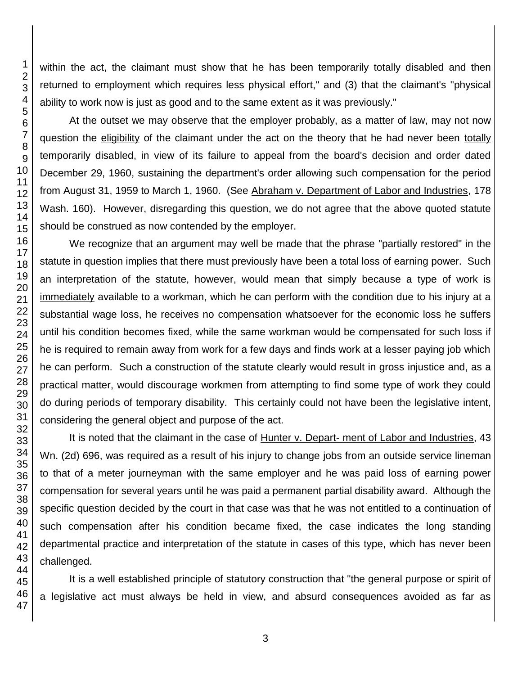within the act, the claimant must show that he has been temporarily totally disabled and then returned to employment which requires less physical effort," and (3) that the claimant's "physical ability to work now is just as good and to the same extent as it was previously."

At the outset we may observe that the employer probably, as a matter of law, may not now question the eligibility of the claimant under the act on the theory that he had never been totally temporarily disabled, in view of its failure to appeal from the board's decision and order dated December 29, 1960, sustaining the department's order allowing such compensation for the period from August 31, 1959 to March 1, 1960. (See Abraham v. Department of Labor and Industries, 178 Wash. 160). However, disregarding this question, we do not agree that the above quoted statute should be construed as now contended by the employer.

We recognize that an argument may well be made that the phrase "partially restored" in the statute in question implies that there must previously have been a total loss of earning power. Such an interpretation of the statute, however, would mean that simply because a type of work is immediately available to a workman, which he can perform with the condition due to his injury at a substantial wage loss, he receives no compensation whatsoever for the economic loss he suffers until his condition becomes fixed, while the same workman would be compensated for such loss if he is required to remain away from work for a few days and finds work at a lesser paying job which he can perform. Such a construction of the statute clearly would result in gross injustice and, as a practical matter, would discourage workmen from attempting to find some type of work they could do during periods of temporary disability. This certainly could not have been the legislative intent, considering the general object and purpose of the act.

It is noted that the claimant in the case of Hunter v. Depart- ment of Labor and Industries, 43 Wn. (2d) 696, was required as a result of his injury to change jobs from an outside service lineman to that of a meter journeyman with the same employer and he was paid loss of earning power compensation for several years until he was paid a permanent partial disability award. Although the specific question decided by the court in that case was that he was not entitled to a continuation of such compensation after his condition became fixed, the case indicates the long standing departmental practice and interpretation of the statute in cases of this type, which has never been challenged.

It is a well established principle of statutory construction that "the general purpose or spirit of a legislative act must always be held in view, and absurd consequences avoided as far as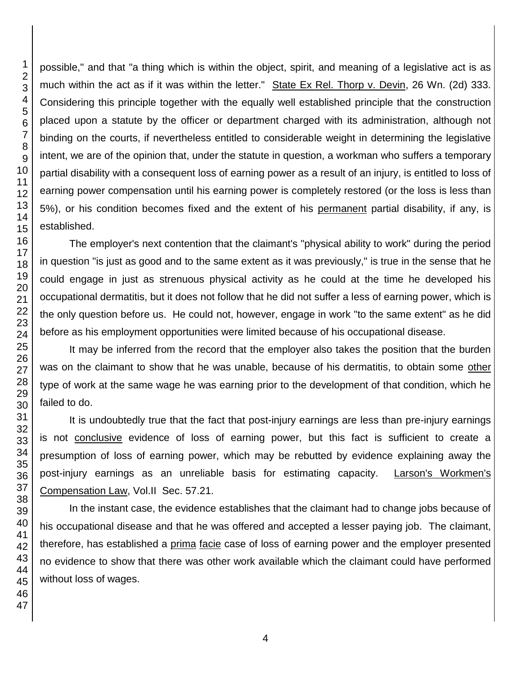possible," and that "a thing which is within the object, spirit, and meaning of a legislative act is as much within the act as if it was within the letter." State Ex Rel. Thorp v. Devin, 26 Wn. (2d) 333. Considering this principle together with the equally well established principle that the construction placed upon a statute by the officer or department charged with its administration, although not binding on the courts, if nevertheless entitled to considerable weight in determining the legislative intent, we are of the opinion that, under the statute in question, a workman who suffers a temporary partial disability with a consequent loss of earning power as a result of an injury, is entitled to loss of earning power compensation until his earning power is completely restored (or the loss is less than 5%), or his condition becomes fixed and the extent of his permanent partial disability, if any, is established.

The employer's next contention that the claimant's "physical ability to work" during the period in question "is just as good and to the same extent as it was previously," is true in the sense that he could engage in just as strenuous physical activity as he could at the time he developed his occupational dermatitis, but it does not follow that he did not suffer a less of earning power, which is the only question before us. He could not, however, engage in work "to the same extent" as he did before as his employment opportunities were limited because of his occupational disease.

It may be inferred from the record that the employer also takes the position that the burden was on the claimant to show that he was unable, because of his dermatitis, to obtain some other type of work at the same wage he was earning prior to the development of that condition, which he failed to do.

It is undoubtedly true that the fact that post-injury earnings are less than pre-injury earnings is not conclusive evidence of loss of earning power, but this fact is sufficient to create a presumption of loss of earning power, which may be rebutted by evidence explaining away the post-injury earnings as an unreliable basis for estimating capacity. Larson's Workmen's Compensation Law, Vol.II Sec. 57.21.

In the instant case, the evidence establishes that the claimant had to change jobs because of his occupational disease and that he was offered and accepted a lesser paying job. The claimant, therefore, has established a prima facie case of loss of earning power and the employer presented no evidence to show that there was other work available which the claimant could have performed without loss of wages.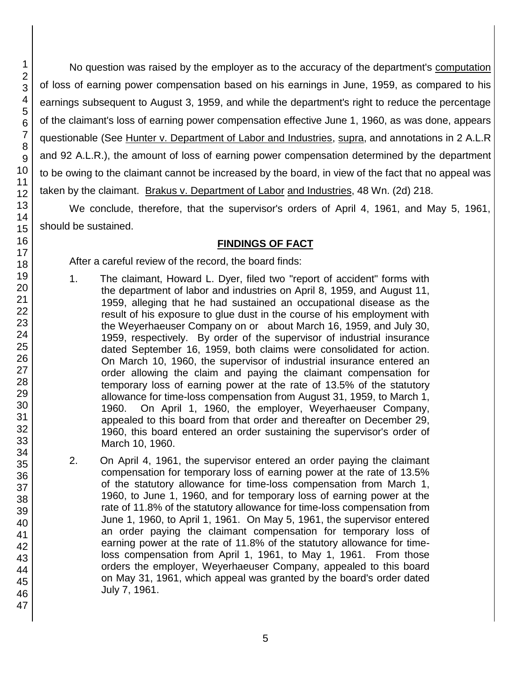No question was raised by the employer as to the accuracy of the department's computation of loss of earning power compensation based on his earnings in June, 1959, as compared to his earnings subsequent to August 3, 1959, and while the department's right to reduce the percentage of the claimant's loss of earning power compensation effective June 1, 1960, as was done, appears questionable (See Hunter v. Department of Labor and Industries, supra, and annotations in 2 A.L.R and 92 A.L.R.), the amount of loss of earning power compensation determined by the department to be owing to the claimant cannot be increased by the board, in view of the fact that no appeal was taken by the claimant. Brakus v. Department of Labor and Industries, 48 Wn. (2d) 218.

We conclude, therefore, that the supervisor's orders of April 4, 1961, and May 5, 1961, should be sustained.

## **FINDINGS OF FACT**

After a careful review of the record, the board finds:

- 1. The claimant, Howard L. Dyer, filed two "report of accident" forms with the department of labor and industries on April 8, 1959, and August 11, 1959, alleging that he had sustained an occupational disease as the result of his exposure to glue dust in the course of his employment with the Weyerhaeuser Company on or about March 16, 1959, and July 30, 1959, respectively. By order of the supervisor of industrial insurance dated September 16, 1959, both claims were consolidated for action. On March 10, 1960, the supervisor of industrial insurance entered an order allowing the claim and paying the claimant compensation for temporary loss of earning power at the rate of 13.5% of the statutory allowance for time-loss compensation from August 31, 1959, to March 1, 1960. On April 1, 1960, the employer, Weyerhaeuser Company, appealed to this board from that order and thereafter on December 29, 1960, this board entered an order sustaining the supervisor's order of March 10, 1960.
- 2. On April 4, 1961, the supervisor entered an order paying the claimant compensation for temporary loss of earning power at the rate of 13.5% of the statutory allowance for time-loss compensation from March 1, 1960, to June 1, 1960, and for temporary loss of earning power at the rate of 11.8% of the statutory allowance for time-loss compensation from June 1, 1960, to April 1, 1961. On May 5, 1961, the supervisor entered an order paying the claimant compensation for temporary loss of earning power at the rate of 11.8% of the statutory allowance for timeloss compensation from April 1, 1961, to May 1, 1961. From those orders the employer, Weyerhaeuser Company, appealed to this board on May 31, 1961, which appeal was granted by the board's order dated July 7, 1961.